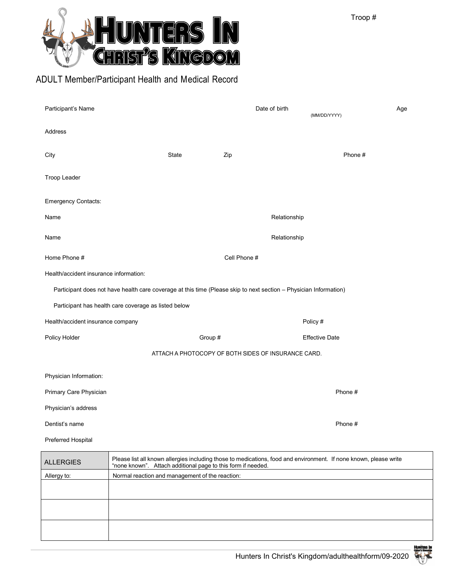

## ADULT Member/Participant Health and Medical Record

| Participant's Name                                                                                                |                                        |         |                       | Date of birth | (MM/DD/YYYY)                                                                                                      | Age |  |  |
|-------------------------------------------------------------------------------------------------------------------|----------------------------------------|---------|-----------------------|---------------|-------------------------------------------------------------------------------------------------------------------|-----|--|--|
| Address                                                                                                           |                                        |         |                       |               |                                                                                                                   |     |  |  |
| City                                                                                                              | <b>State</b>                           |         | Zip                   |               | Phone #                                                                                                           |     |  |  |
| Troop Leader                                                                                                      |                                        |         |                       |               |                                                                                                                   |     |  |  |
| <b>Emergency Contacts:</b>                                                                                        |                                        |         |                       |               |                                                                                                                   |     |  |  |
| Name                                                                                                              |                                        |         |                       | Relationship  |                                                                                                                   |     |  |  |
| Name                                                                                                              |                                        |         |                       | Relationship  |                                                                                                                   |     |  |  |
| Home Phone #                                                                                                      |                                        |         | Cell Phone #          |               |                                                                                                                   |     |  |  |
|                                                                                                                   | Health/accident insurance information: |         |                       |               |                                                                                                                   |     |  |  |
| Participant does not have health care coverage at this time (Please skip to next section - Physician Information) |                                        |         |                       |               |                                                                                                                   |     |  |  |
| Participant has health care coverage as listed below                                                              |                                        |         |                       |               |                                                                                                                   |     |  |  |
| Health/accident insurance company                                                                                 |                                        |         |                       |               | Policy #                                                                                                          |     |  |  |
| Policy Holder                                                                                                     |                                        | Group # | <b>Effective Date</b> |               |                                                                                                                   |     |  |  |
| ATTACH A PHOTOCOPY OF BOTH SIDES OF INSURANCE CARD.                                                               |                                        |         |                       |               |                                                                                                                   |     |  |  |
| Physician Information:                                                                                            |                                        |         |                       |               |                                                                                                                   |     |  |  |
| Primary Care Physician                                                                                            |                                        |         |                       |               | Phone #                                                                                                           |     |  |  |
| Physician's address                                                                                               |                                        |         |                       |               |                                                                                                                   |     |  |  |
| Dentist's name                                                                                                    |                                        |         |                       |               | Phone #                                                                                                           |     |  |  |
| Preferred Hospital                                                                                                |                                        |         |                       |               |                                                                                                                   |     |  |  |
| ALL EDCIES                                                                                                        |                                        |         |                       |               | Please list all known allergies including those to medications, food and environment. If none known, please write |     |  |  |

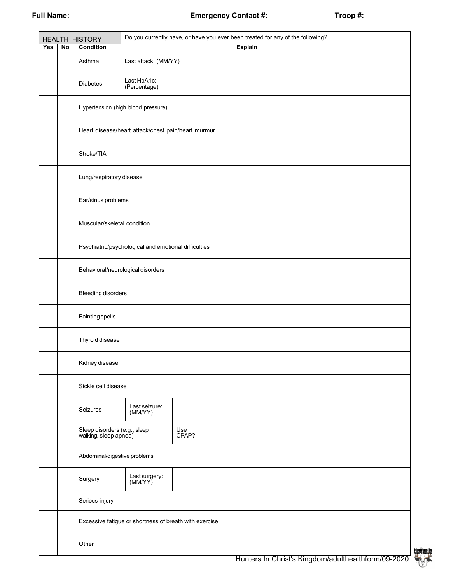|     |    | <b>HEALTH HISTORY</b>                                 | Do you currently have, or have you ever been treated for any of the following? |  |                |  |  |
|-----|----|-------------------------------------------------------|--------------------------------------------------------------------------------|--|----------------|--|--|
| Yes | No | <b>Condition</b>                                      |                                                                                |  | <b>Explain</b> |  |  |
|     |    | Asthma                                                | Last attack: (MM/YY)                                                           |  |                |  |  |
|     |    | <b>Diabetes</b>                                       | Last HbA1c:<br>(Percentage)                                                    |  |                |  |  |
|     |    |                                                       | Hypertension (high blood pressure)                                             |  |                |  |  |
|     |    |                                                       | Heart disease/heart attack/chest pain/heart murmur                             |  |                |  |  |
|     |    | Stroke/TIA                                            |                                                                                |  |                |  |  |
|     |    | Lung/respiratory disease                              |                                                                                |  |                |  |  |
|     |    | Ear/sinus problems                                    |                                                                                |  |                |  |  |
|     |    | Muscular/skeletal condition                           |                                                                                |  |                |  |  |
|     |    | Psychiatric/psychological and emotional difficulties  |                                                                                |  |                |  |  |
|     |    | Behavioral/neurological disorders                     |                                                                                |  |                |  |  |
|     |    | <b>Bleeding disorders</b>                             |                                                                                |  |                |  |  |
|     |    | <b>Fainting spells</b>                                |                                                                                |  |                |  |  |
|     |    | Thyroid disease                                       |                                                                                |  |                |  |  |
|     |    | Kidney disease                                        |                                                                                |  |                |  |  |
|     |    | Sickle cell disease                                   |                                                                                |  |                |  |  |
|     |    | Seizures                                              | Last seizure:<br>(MM/YY)                                                       |  |                |  |  |
|     |    | Sleep disorders (e.g., sleep<br>walking, sleep apnea) |                                                                                |  |                |  |  |
|     |    | Abdominal/digestive problems                          |                                                                                |  |                |  |  |
|     |    | Surgery                                               | Last surgery:<br>(MM/YY)                                                       |  |                |  |  |
|     |    | Serious injury                                        |                                                                                |  |                |  |  |
|     |    |                                                       | Excessive fatigue or shortness of breath with exercise                         |  |                |  |  |
|     |    | Other                                                 |                                                                                |  |                |  |  |

HUNTERS IN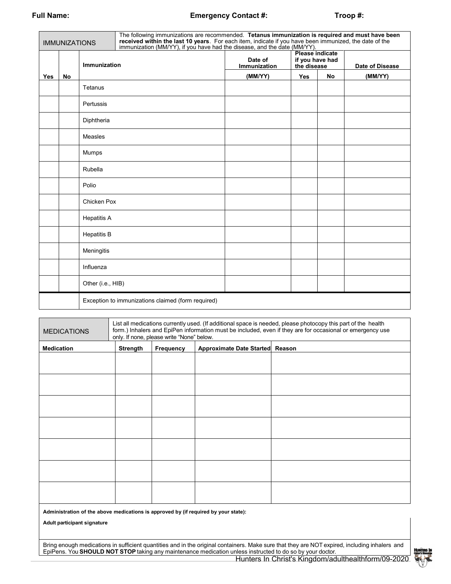## **Full Name: Emergency Contact #: Troop #:**

| <b>IMMUNIZATIONS</b> |    |                    | The following immunizations are recommended. Tetanus immunization is required and must have been<br>received within the last 10 years. For each item, indicate if you have been immunized, the date of the<br>immunization (MM/YY), if you have had the disease, and the date (MM/YY). |                                |                                                          |    |                 |  |
|----------------------|----|--------------------|----------------------------------------------------------------------------------------------------------------------------------------------------------------------------------------------------------------------------------------------------------------------------------------|--------------------------------|----------------------------------------------------------|----|-----------------|--|
|                      |    | Immunization       |                                                                                                                                                                                                                                                                                        | Date of<br><b>Immunization</b> | <b>Please indicate</b><br>if you have had<br>the disease |    | Date of Disease |  |
| <b>Yes</b>           | No |                    |                                                                                                                                                                                                                                                                                        | (MM/YY)                        | <b>Yes</b>                                               | No | (MM/YY)         |  |
|                      |    | Tetanus            |                                                                                                                                                                                                                                                                                        |                                |                                                          |    |                 |  |
|                      |    | Pertussis          |                                                                                                                                                                                                                                                                                        |                                |                                                          |    |                 |  |
|                      |    | Diphtheria         |                                                                                                                                                                                                                                                                                        |                                |                                                          |    |                 |  |
|                      |    | <b>Measles</b>     |                                                                                                                                                                                                                                                                                        |                                |                                                          |    |                 |  |
|                      |    | Mumps              |                                                                                                                                                                                                                                                                                        |                                |                                                          |    |                 |  |
|                      |    | Rubella            |                                                                                                                                                                                                                                                                                        |                                |                                                          |    |                 |  |
|                      |    | Polio              |                                                                                                                                                                                                                                                                                        |                                |                                                          |    |                 |  |
|                      |    | Chicken Pox        |                                                                                                                                                                                                                                                                                        |                                |                                                          |    |                 |  |
|                      |    | <b>Hepatitis A</b> |                                                                                                                                                                                                                                                                                        |                                |                                                          |    |                 |  |
|                      |    | <b>Hepatitis B</b> |                                                                                                                                                                                                                                                                                        |                                |                                                          |    |                 |  |
|                      |    | Meningitis         |                                                                                                                                                                                                                                                                                        |                                |                                                          |    |                 |  |
|                      |    | Influenza          |                                                                                                                                                                                                                                                                                        |                                |                                                          |    |                 |  |
|                      |    | Other (i.e., HIB)  |                                                                                                                                                                                                                                                                                        |                                |                                                          |    |                 |  |
|                      |    |                    | Exception to immunizations claimed (form required)                                                                                                                                                                                                                                     |                                |                                                          |    |                 |  |

| <b>MEDICATIONS</b> | List all medications currently used. (If additional space is needed, please photocopy this part of the health<br>form.) Inhalers and EpiPen information must be included, even if they are for occasional or emergency use<br>only. If none, please write "None" below. |           |                                 |  |  |
|--------------------|-------------------------------------------------------------------------------------------------------------------------------------------------------------------------------------------------------------------------------------------------------------------------|-----------|---------------------------------|--|--|
| <b>Medication</b>  | <b>Strength</b>                                                                                                                                                                                                                                                         | Frequency | Approximate Date Started Reason |  |  |
|                    |                                                                                                                                                                                                                                                                         |           |                                 |  |  |
|                    |                                                                                                                                                                                                                                                                         |           |                                 |  |  |
|                    |                                                                                                                                                                                                                                                                         |           |                                 |  |  |
|                    |                                                                                                                                                                                                                                                                         |           |                                 |  |  |
|                    |                                                                                                                                                                                                                                                                         |           |                                 |  |  |
|                    |                                                                                                                                                                                                                                                                         |           |                                 |  |  |
|                    |                                                                                                                                                                                                                                                                         |           |                                 |  |  |
|                    |                                                                                                                                                                                                                                                                         |           |                                 |  |  |
|                    |                                                                                                                                                                                                                                                                         |           |                                 |  |  |
|                    |                                                                                                                                                                                                                                                                         |           |                                 |  |  |
|                    |                                                                                                                                                                                                                                                                         |           |                                 |  |  |

**Administration of the above medications is approved by (if required by your state):**

**Adult participant signature**

Bring enough medications in sufficient quantities and in the original containers. Make sure that they are NOT expired, including inhalers and EpiPens. You **SHOULD NOT STOP** taking any maintenance medication unless instructed to do so by your doctor.